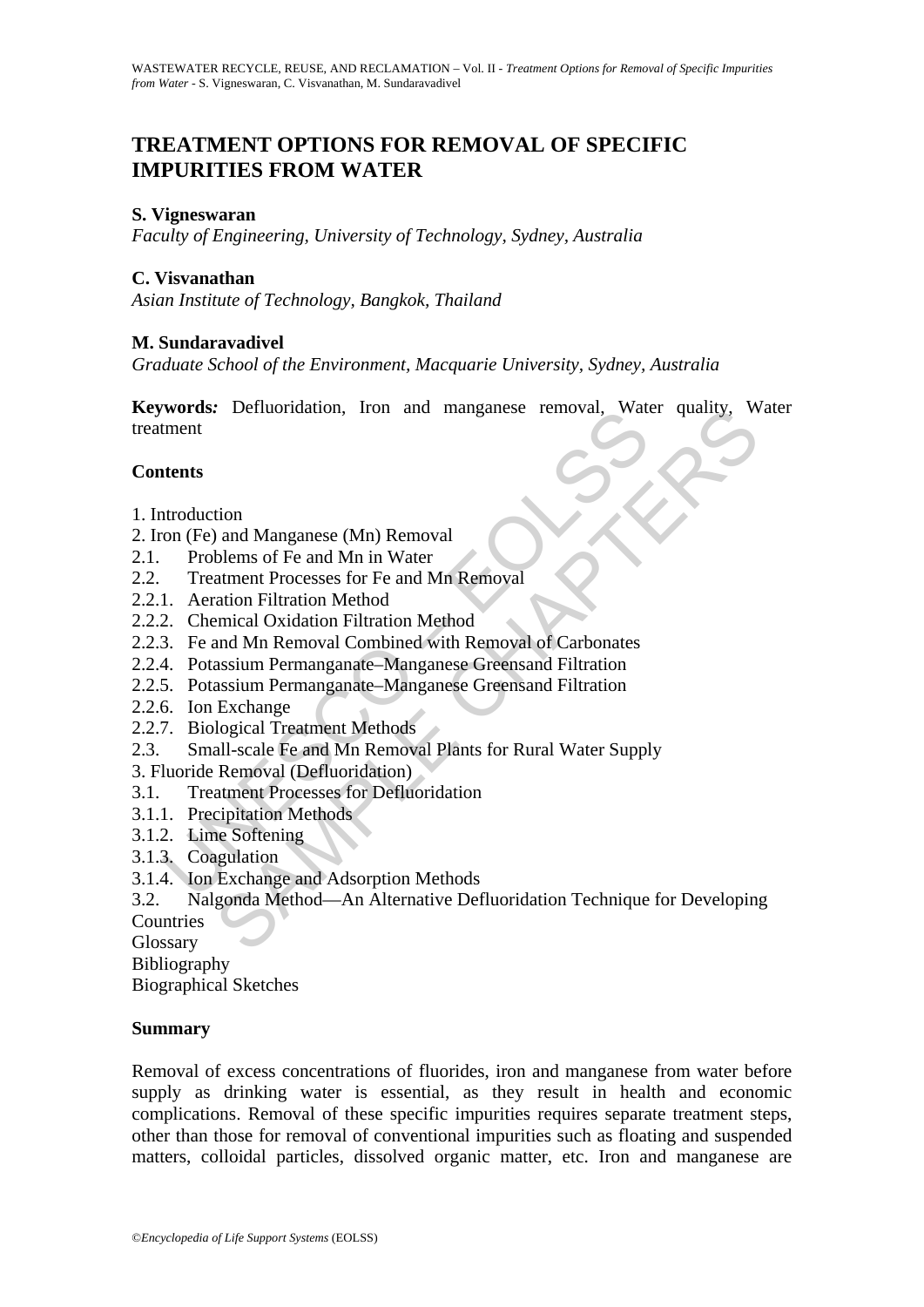# **TREATMENT OPTIONS FOR REMOVAL OF SPECIFIC IMPURITIES FROM WATER**

## **S. Vigneswaran**

*Faculty of Engineering, University of Technology, Sydney, Australia* 

## **C. Visvanathan**

*Asian Institute of Technology, Bangkok, Thailand* 

### **M. Sundaravadivel**

*Graduate School of the Environment, Macquarie University, Sydney, Australia* 

Words: Definiontation, from and manganese femoval, wate<br>
thent<br>
thent<br>
thent<br>
thents<br>
thent<br>
thents<br>
Treatment Processes for Fe and Mn Removal<br>
1. Aeration Filtration Method<br>
2. Chemical Oxidation Filtration Method<br>
2. Che **Keywords***:* Defluoridation, Iron and manganese removal, Water quality, Water treatment

## **Contents**

- 1. Introduction
- 2. Iron (Fe) and Manganese (Mn) Removal
- 2.1. Problems of Fe and Mn in Water
- 2.2. Treatment Processes for Fe and Mn Removal
- 2.2.1. Aeration Filtration Method
- 2.2.2. Chemical Oxidation Filtration Method
- 2.2.3. Fe and Mn Removal Combined with Removal of Carbonates
- 2.2.4. Potassium Permanganate–Manganese Greensand Filtration
- 2.2.5. Potassium Permanganate–Manganese Greensand Filtration
- 2.2.6. Ion Exchange
- 2.2.7. Biological Treatment Methods
- 2.3. Small-scale Fe and Mn Removal Plants for Rural Water Supply
- 3. Fluoride Removal (Defluoridation)
- 3.1. Treatment Processes for Defluoridation
- 3.1.1. Precipitation Methods
- 3.1.2. Lime Softening
- 3.1.3. Coagulation
- 3.1.4. Ion Exchange and Adsorption Methods

Exploration, Iron and manganese removal, water quanty, where<br>
the distance of Fe and Mn in Water<br>
thement Processes for Fe and Mn Removal<br>
ation Filtration Method<br>
ation Filtration Method<br>
and Mn Removal Combined with Remo 3.2. Nalgonda Method—An Alternative Defluoridation Technique for Developing **Countries** 

Glossary

Bibliography

Biographical Sketches

### **Summary**

Removal of excess concentrations of fluorides, iron and manganese from water before supply as drinking water is essential, as they result in health and economic complications. Removal of these specific impurities requires separate treatment steps, other than those for removal of conventional impurities such as floating and suspended matters, colloidal particles, dissolved organic matter, etc. Iron and manganese are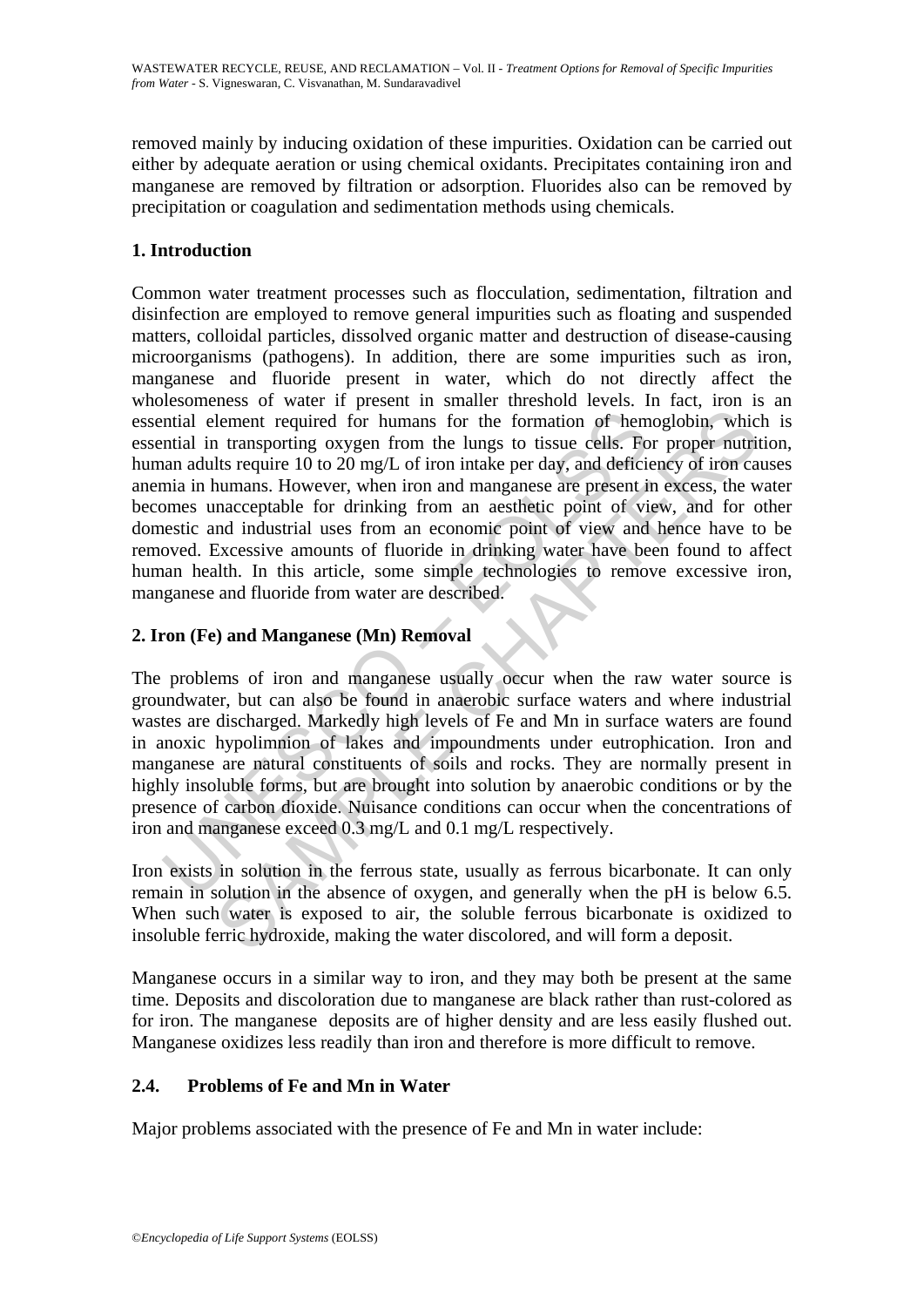removed mainly by inducing oxidation of these impurities. Oxidation can be carried out either by adequate aeration or using chemical oxidants. Precipitates containing iron and manganese are removed by filtration or adsorption. Fluorides also can be removed by precipitation or coagulation and sedimentation methods using chemicals.

## **1. Introduction**

ntial element required for humans for the formation of hem<br>ntial in transporting oxygen from the lungs to tissue cells. Fo<br>nan adults require 10 to 20 mg/L of iron intake per day, and deficie<br>nia in humans. However, when lement required for humans for the formation of hemoglobin, which<br>tement required for humans for the formation of hemoglobin, which<br>transporting oxygen from the lungs to tissue cells. For proper nutrit<br>lts require 10 to 2 Common water treatment processes such as flocculation, sedimentation, filtration and disinfection are employed to remove general impurities such as floating and suspended matters, colloidal particles, dissolved organic matter and destruction of disease-causing microorganisms (pathogens). In addition, there are some impurities such as iron, manganese and fluoride present in water, which do not directly affect the wholesomeness of water if present in smaller threshold levels. In fact, iron is an essential element required for humans for the formation of hemoglobin, which is essential in transporting oxygen from the lungs to tissue cells. For proper nutrition, human adults require 10 to 20 mg/L of iron intake per day, and deficiency of iron causes anemia in humans. However, when iron and manganese are present in excess, the water becomes unacceptable for drinking from an aesthetic point of view, and for other domestic and industrial uses from an economic point of view and hence have to be removed. Excessive amounts of fluoride in drinking water have been found to affect human health. In this article, some simple technologies to remove excessive iron, manganese and fluoride from water are described.

## **2. Iron (Fe) and Manganese (Mn) Removal**

The problems of iron and manganese usually occur when the raw water source is groundwater, but can also be found in anaerobic surface waters and where industrial wastes are discharged. Markedly high levels of Fe and Mn in surface waters are found in anoxic hypolimnion of lakes and impoundments under eutrophication. Iron and manganese are natural constituents of soils and rocks. They are normally present in highly insoluble forms, but are brought into solution by anaerobic conditions or by the presence of carbon dioxide. Nuisance conditions can occur when the concentrations of iron and manganese exceed 0.3 mg/L and 0.1 mg/L respectively.

Iron exists in solution in the ferrous state, usually as ferrous bicarbonate. It can only remain in solution in the absence of oxygen, and generally when the pH is below 6.5. When such water is exposed to air, the soluble ferrous bicarbonate is oxidized to insoluble ferric hydroxide, making the water discolored, and will form a deposit.

Manganese occurs in a similar way to iron, and they may both be present at the same time. Deposits and discoloration due to manganese are black rather than rust-colored as for iron. The manganese deposits are of higher density and are less easily flushed out. Manganese oxidizes less readily than iron and therefore is more difficult to remove.

## **2.4. Problems of Fe and Mn in Water**

Major problems associated with the presence of Fe and Mn in water include: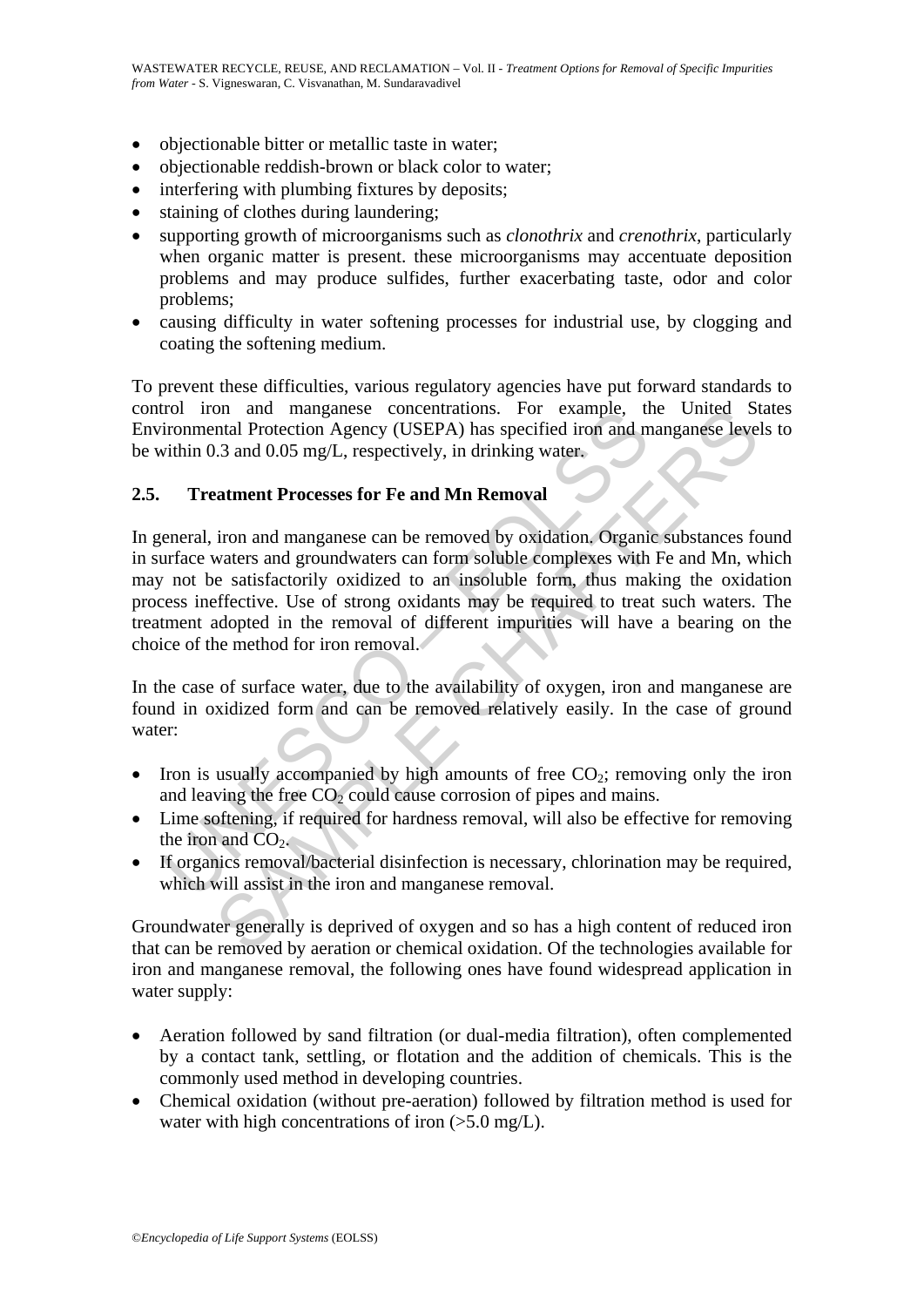- objectionable bitter or metallic taste in water;
- objectionable reddish-brown or black color to water;
- interfering with plumbing fixtures by deposits;
- staining of clothes during laundering;
- supporting growth of microorganisms such as *clonothrix* and *crenothrix*, particularly when organic matter is present. these microorganisms may accentuate deposition problems and may produce sulfides, further exacerbating taste, odor and color problems;
- causing difficulty in water softening processes for industrial use, by clogging and coating the softening medium.

To prevent these difficulties, various regulatory agencies have put forward standards to control iron and manganese concentrations. For example, the United States Environmental Protection Agency (USEPA) has specified iron and manganese levels to be within 0.3 and 0.05 mg/L, respectively, in drinking water.

### **2.5. Treatment Processes for Fe and Mn Removal**

Trol Tron and manganese concentrations. For example, the iron mental Protection Agency (USEPA) has specified iron and n<br>ironmental Protection Agency (USEPA) has specified iron and n<br>within 0.3 and 0.05 mg/L, respectively, on and manganese concentrations. For example, the United St<br>
and Protection Agency (USEPA) has specified iron and manganese leve<br>
and 0.05 mg/L, respectively, in drinking water.<br> **atment Processes for Fe and Mn Removal**<br> In general, iron and manganese can be removed by oxidation. Organic substances found in surface waters and groundwaters can form soluble complexes with Fe and Mn, which may not be satisfactorily oxidized to an insoluble form, thus making the oxidation process ineffective. Use of strong oxidants may be required to treat such waters. The treatment adopted in the removal of different impurities will have a bearing on the choice of the method for iron removal.

In the case of surface water, due to the availability of oxygen, iron and manganese are found in oxidized form and can be removed relatively easily. In the case of ground water:

- Iron is usually accompanied by high amounts of free  $CO<sub>2</sub>$ ; removing only the iron and leaving the free  $CO<sub>2</sub>$  could cause corrosion of pipes and mains.
- Lime softening, if required for hardness removal, will also be effective for removing the iron and  $CO<sub>2</sub>$ .
- If organics removal/bacterial disinfection is necessary, chlorination may be required, which will assist in the iron and manganese removal.

Groundwater generally is deprived of oxygen and so has a high content of reduced iron that can be removed by aeration or chemical oxidation. Of the technologies available for iron and manganese removal, the following ones have found widespread application in water supply:

- Aeration followed by sand filtration (or dual-media filtration), often complemented by a contact tank, settling, or flotation and the addition of chemicals. This is the commonly used method in developing countries.
- Chemical oxidation (without pre-aeration) followed by filtration method is used for water with high concentrations of iron  $(>5.0 \text{ mg/L})$ .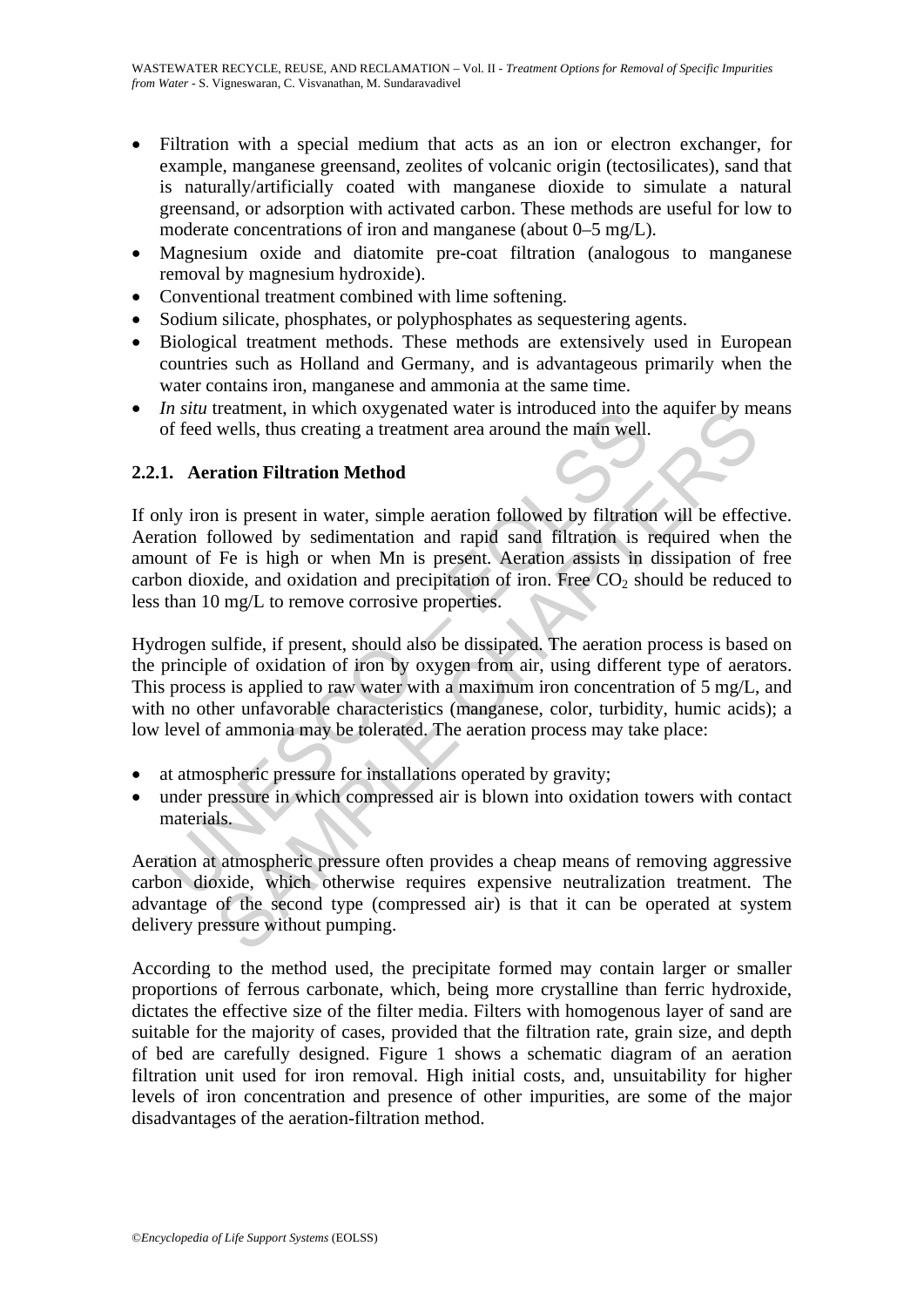- Filtration with a special medium that acts as an ion or electron exchanger, for example, manganese greensand, zeolites of volcanic origin (tectosilicates), sand that is naturally/artificially coated with manganese dioxide to simulate a natural greensand, or adsorption with activated carbon. These methods are useful for low to moderate concentrations of iron and manganese (about 0–5 mg/L).
- Magnesium oxide and diatomite pre-coat filtration (analogous to manganese removal by magnesium hydroxide).
- Conventional treatment combined with lime softening.
- Sodium silicate, phosphates, or polyphosphates as sequestering agents.
- Biological treatment methods. These methods are extensively used in European countries such as Holland and Germany, and is advantageous primarily when the water contains iron, manganese and ammonia at the same time.
- *In situ* treatment, in which oxygenated water is introduced into the aquifer by means of feed wells, thus creating a treatment area around the main well.

## **2.2.1. Aeration Filtration Method**

*In still* treatment, in which oxygenated water is introduced into the of feed wells, thus creating a treatment area around the main well.<br> **1. Aeration Filtration Method**<br>
Ily iron is present in water, simple aeration fo treatment, in which oxygenated water is introduced into the aquiter by m<br>wells, thus creating a treatment area around the main well.<br>
Traition Filtration Method<br>
is present in water, simple aeration followed by filtration If only iron is present in water, simple aeration followed by filtration will be effective. Aeration followed by sedimentation and rapid sand filtration is required when the amount of Fe is high or when Mn is present. Aeration assists in dissipation of free carbon dioxide, and oxidation and precipitation of iron. Free  $CO<sub>2</sub>$  should be reduced to less than 10 mg/L to remove corrosive properties.

Hydrogen sulfide, if present, should also be dissipated. The aeration process is based on the principle of oxidation of iron by oxygen from air, using different type of aerators. This process is applied to raw water with a maximum iron concentration of 5 mg/L, and with no other unfavorable characteristics (manganese, color, turbidity, humic acids); a low level of ammonia may be tolerated. The aeration process may take place:

- at atmospheric pressure for installations operated by gravity;
- under pressure in which compressed air is blown into oxidation towers with contact materials.

Aeration at atmospheric pressure often provides a cheap means of removing aggressive carbon dioxide, which otherwise requires expensive neutralization treatment. The advantage of the second type (compressed air) is that it can be operated at system delivery pressure without pumping.

According to the method used, the precipitate formed may contain larger or smaller proportions of ferrous carbonate, which, being more crystalline than ferric hydroxide, dictates the effective size of the filter media. Filters with homogenous layer of sand are suitable for the majority of cases, provided that the filtration rate, grain size, and depth of bed are carefully designed. Figure 1 shows a schematic diagram of an aeration filtration unit used for iron removal. High initial costs, and, unsuitability for higher levels of iron concentration and presence of other impurities, are some of the major disadvantages of the aeration-filtration method.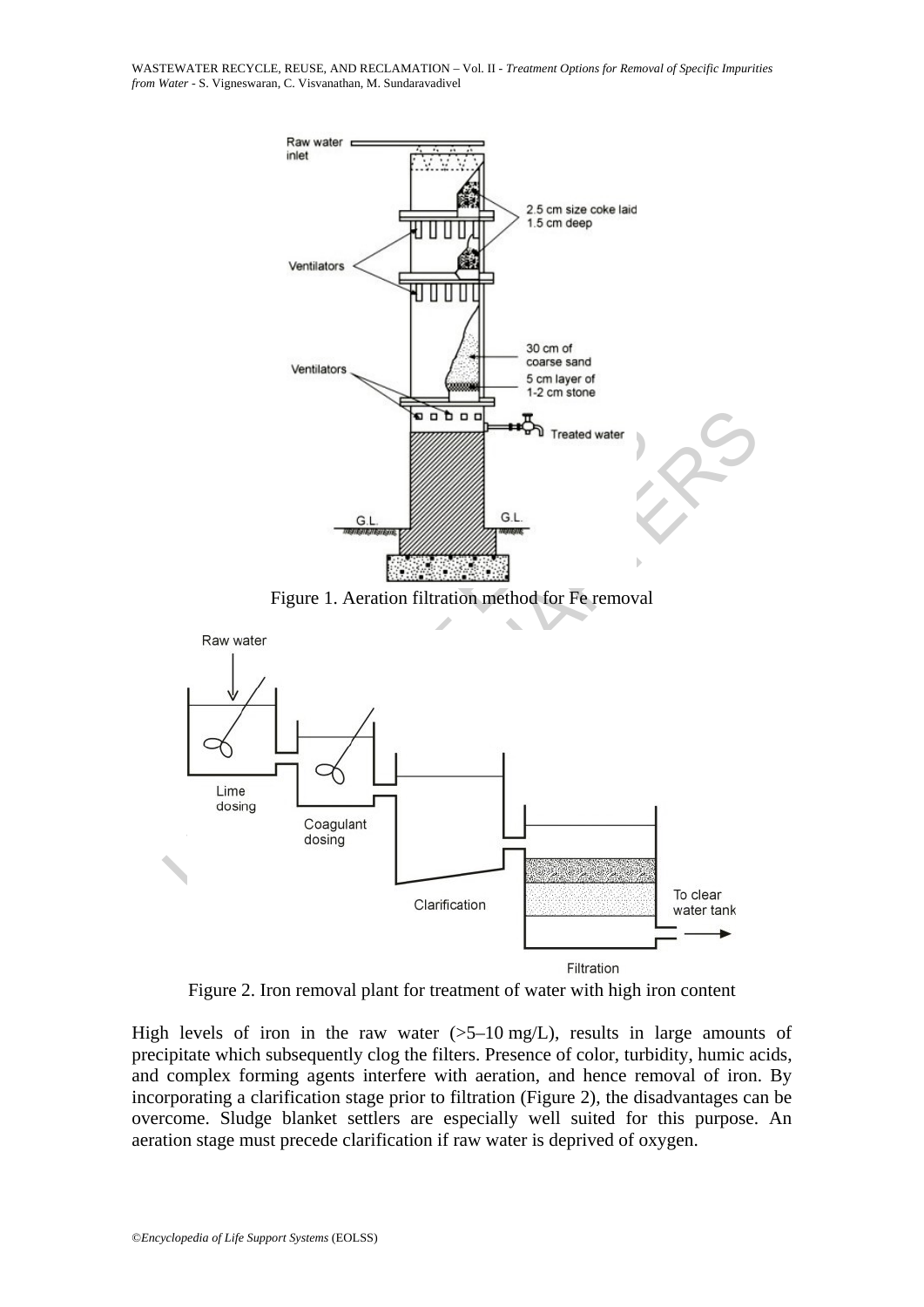WASTEWATER RECYCLE, REUSE, AND RECLAMATION – Vol. II - *Treatment Options for Removal of Specific Impurities from Water* - S. Vigneswaran, C. Visvanathan, M. Sundaravadivel



Figure 2. Iron removal plant for treatment of water with high iron content

High levels of iron in the raw water  $(5-10 \text{ mg/L})$ , results in large amounts of precipitate which subsequently clog the filters. Presence of color, turbidity, humic acids, and complex forming agents interfere with aeration, and hence removal of iron. By incorporating a clarification stage prior to filtration (Figure 2), the disadvantages can be overcome. Sludge blanket settlers are especially well suited for this purpose. An aeration stage must precede clarification if raw water is deprived of oxygen.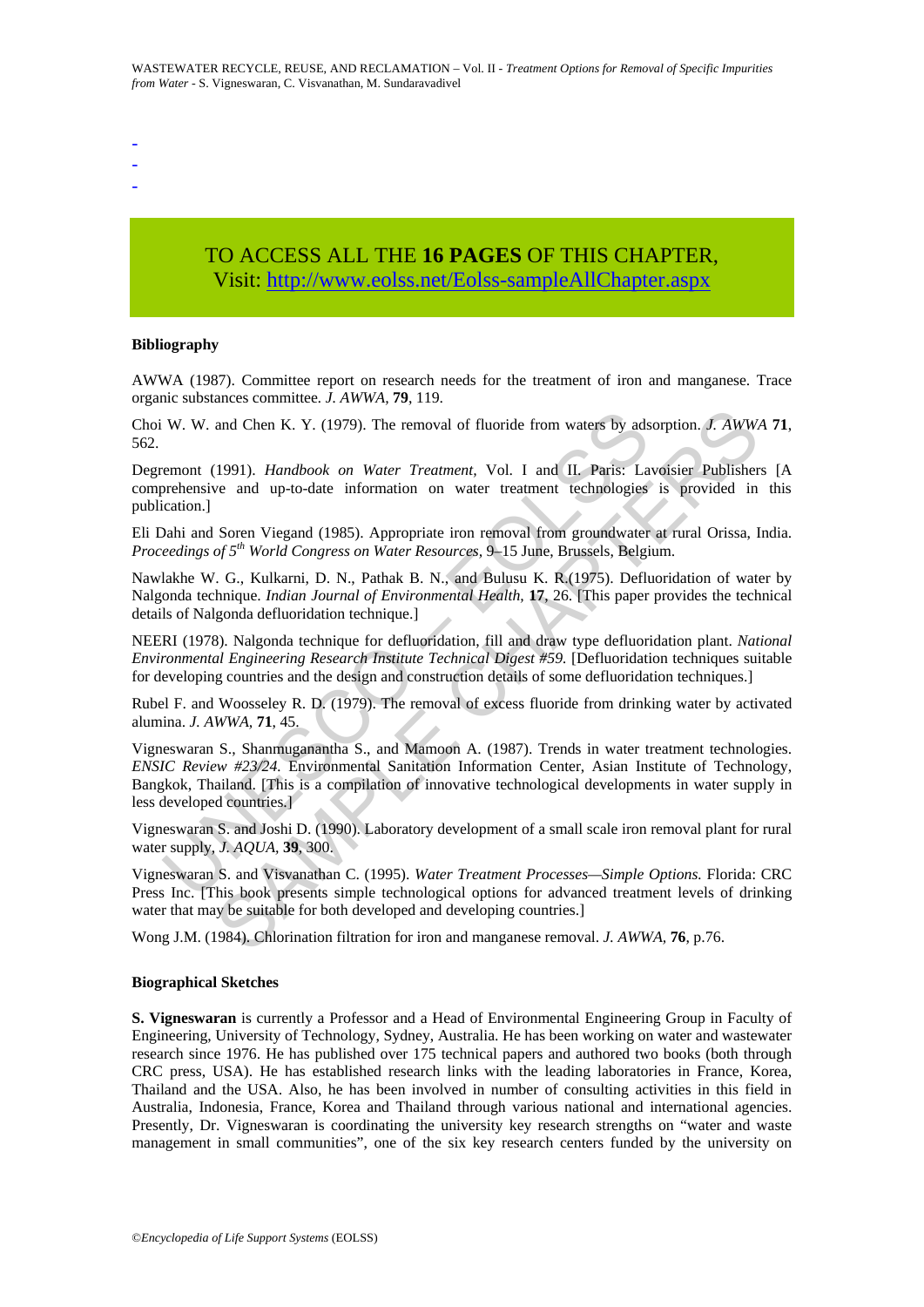- -
- -
- TO ACCESS ALL THE **16 PAGES** OF THIS CHAPTER, Visit: [http://www.eolss.net/Eolss-sampleAllChapter.aspx](https://www.eolss.net/ebooklib/sc_cart.aspx?File=E2-14-03-05)

#### **Bibliography**

AWWA (1987). Committee report on research needs for the treatment of iron and manganese. Trace organic substances committee*. J. AWWA,* **79**, 119.

Choi W. W. and Chen K. Y. (1979). The removal of fluoride from waters by adsorption. *J. AWWA* **71**, 562.

Degremont (1991). *Handbook on Water Treatment,* Vol. I and II. Paris: Lavoisier Publishers [A comprehensive and up-to-date information on water treatment technologies is provided in this publication.]

Eli Dahi and Soren Viegand (1985). Appropriate iron removal from groundwater at rural Orissa, India. *Proceedings of 5th World Congress on Water Resources,* 9–15 June, Brussels, Belgium.

Nawlakhe W. G., Kulkarni, D. N., Pathak B. N., and Bulusu K. R.(1975). Defluoridation of water by Nalgonda technique. *Indian Journal of Environmental Health,* **17**, 26. [This paper provides the technical details of Nalgonda defluoridation technique.]

NEERI (1978). Nalgonda technique for defluoridation, fill and draw type defluoridation plant. *National Environmental Engineering Research Institute Technical Digest #59.* [Defluoridation techniques suitable for developing countries and the design and construction details of some defluoridation techniques.]

Rubel F. and Woosseley R. D. (1979). The removal of excess fluoride from drinking water by activated alumina. *J. AWWA,* **71**, 45.

W. W. and Chen K. Y. (1979). The removal of fluoride from waters by ads<br>remont (1991). *Handbook on Water Treatment*, Vol. I and II. Paris: La<br>orchensive and up-to-date information on water treatment technologies<br>orchensi and Chen K. Y. (1979). The removal of fluoride from waters by adsorption. *J. AWW*<br>(1991). *Handbook on Water Treatment*. Vol. I and II. Paris: Lavoisier Publisher<br>ve and up-to-date information on water treatment technolo Vigneswaran S., Shanmuganantha S., and Mamoon A. (1987). Trends in water treatment technologies. *ENSIC Review #23/24.* Environmental Sanitation Information Center, Asian Institute of Technology, Bangkok, Thailand. [This is a compilation of innovative technological developments in water supply in less developed countries.]

Vigneswaran S. and Joshi D. (1990). Laboratory development of a small scale iron removal plant for rural water supply, *J. AQUA,* **39**, 300.

Vigneswaran S. and Visvanathan C. (1995). *Water Treatment Processes—Simple Options.* Florida: CRC Press Inc. [This book presents simple technological options for advanced treatment levels of drinking water that may be suitable for both developed and developing countries.

Wong J.M. (1984). Chlorination filtration for iron and manganese removal. *J. AWWA,* **76**, p.76.

#### **Biographical Sketches**

**S. Vigneswaran** is currently a Professor and a Head of Environmental Engineering Group in Faculty of Engineering, University of Technology, Sydney, Australia. He has been working on water and wastewater research since 1976. He has published over 175 technical papers and authored two books (both through CRC press, USA). He has established research links with the leading laboratories in France, Korea, Thailand and the USA. Also, he has been involved in number of consulting activities in this field in Australia, Indonesia, France, Korea and Thailand through various national and international agencies. Presently, Dr. Vigneswaran is coordinating the university key research strengths on "water and waste management in small communities", one of the six key research centers funded by the university on